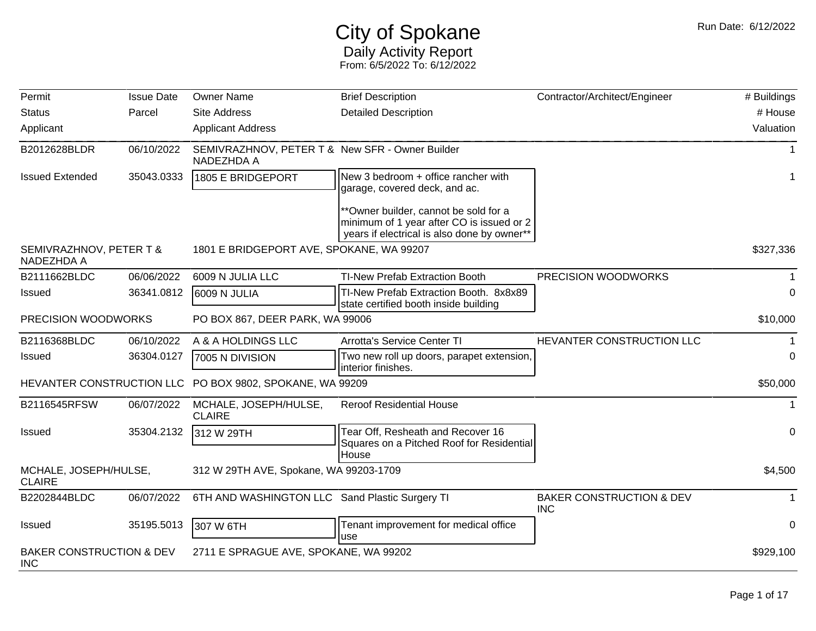## City of Spokane Daily Activity Report From: 6/5/2022 To: 6/12/2022

| Permit                                            | <b>Issue Date</b> | <b>Owner Name</b>                                             | <b>Brief Description</b>                                                                                                          | Contractor/Architect/Engineer                     | # Buildings |
|---------------------------------------------------|-------------------|---------------------------------------------------------------|-----------------------------------------------------------------------------------------------------------------------------------|---------------------------------------------------|-------------|
| <b>Status</b>                                     | Parcel            | <b>Site Address</b>                                           | <b>Detailed Description</b>                                                                                                       |                                                   | # House     |
| Applicant                                         |                   | <b>Applicant Address</b>                                      |                                                                                                                                   |                                                   | Valuation   |
| B2012628BLDR                                      | 06/10/2022        | SEMIVRAZHNOV, PETER T & New SFR - Owner Builder<br>NADEZHDA A |                                                                                                                                   |                                                   | 1           |
| <b>Issued Extended</b>                            | 35043.0333        | 1805 E BRIDGEPORT                                             | New 3 bedroom + office rancher with<br>garage, covered deck, and ac.                                                              |                                                   |             |
|                                                   |                   |                                                               | **Owner builder, cannot be sold for a<br>minimum of 1 year after CO is issued or 2<br>years if electrical is also done by owner** |                                                   |             |
| SEMIVRAZHNOV, PETER T &<br>NADEZHDA A             |                   | 1801 E BRIDGEPORT AVE, SPOKANE, WA 99207                      |                                                                                                                                   |                                                   | \$327,336   |
| B2111662BLDC                                      | 06/06/2022        | 6009 N JULIA LLC                                              | TI-New Prefab Extraction Booth                                                                                                    | PRECISION WOODWORKS                               |             |
| <b>Issued</b>                                     | 36341.0812        | 6009 N JULIA                                                  | TI-New Prefab Extraction Booth. 8x8x89<br>state certified booth inside building                                                   |                                                   | $\Omega$    |
| PRECISION WOODWORKS                               |                   | PO BOX 867, DEER PARK, WA 99006                               |                                                                                                                                   |                                                   | \$10,000    |
| B2116368BLDC                                      | 06/10/2022        | A & A HOLDINGS LLC                                            | <b>Arrotta's Service Center TI</b>                                                                                                | HEVANTER CONSTRUCTION LLC                         |             |
| <b>Issued</b>                                     | 36304.0127        | 7005 N DIVISION                                               | Two new roll up doors, parapet extension,<br>interior finishes.                                                                   |                                                   | 0           |
|                                                   |                   | HEVANTER CONSTRUCTION LLC PO BOX 9802, SPOKANE, WA 99209      |                                                                                                                                   |                                                   | \$50,000    |
| B2116545RFSW                                      | 06/07/2022        | MCHALE, JOSEPH/HULSE,<br><b>CLAIRE</b>                        | <b>Reroof Residential House</b>                                                                                                   |                                                   |             |
| <b>Issued</b>                                     | 35304.2132        | 312 W 29TH                                                    | Tear Off, Resheath and Recover 16<br>Squares on a Pitched Roof for Residential                                                    |                                                   | $\Omega$    |
| MCHALE, JOSEPH/HULSE,<br><b>CLAIRE</b>            |                   | 312 W 29TH AVE, Spokane, WA 99203-1709                        | House                                                                                                                             |                                                   | \$4,500     |
| B2202844BLDC                                      | 06/07/2022        | 6TH AND WASHINGTON LLC Sand Plastic Surgery TI                |                                                                                                                                   | <b>BAKER CONSTRUCTION &amp; DEV</b><br><b>INC</b> |             |
| <b>Issued</b>                                     | 35195.5013        | 307 W 6TH                                                     | Tenant improvement for medical office<br>use                                                                                      |                                                   | 0           |
| <b>BAKER CONSTRUCTION &amp; DEV</b><br><b>INC</b> |                   | 2711 E SPRAGUE AVE, SPOKANE, WA 99202                         |                                                                                                                                   |                                                   | \$929,100   |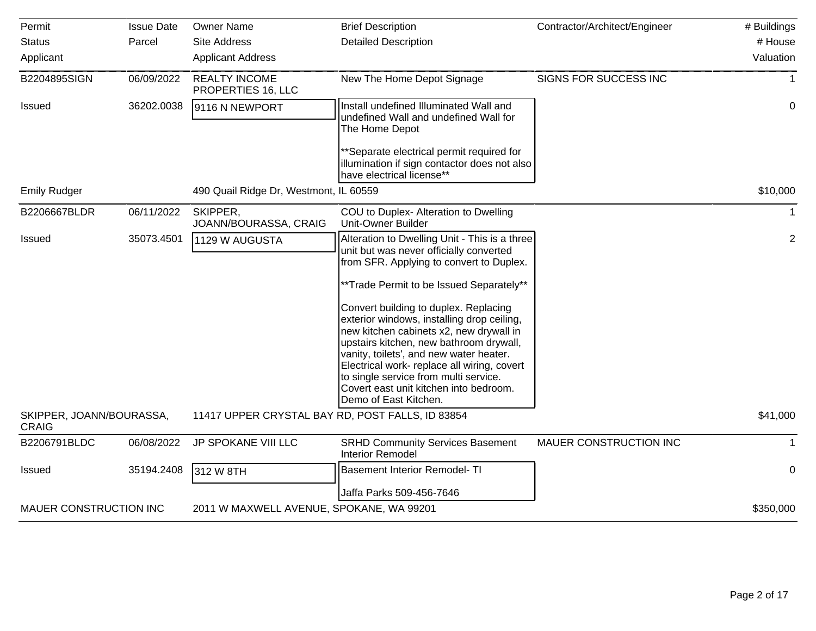| Permit                                   | <b>Issue Date</b> | <b>Owner Name</b>                                | <b>Brief Description</b>                                                                                                                                                                                                                                                                                                                                                                                                                                                                                                                                            | Contractor/Architect/Engineer | # Buildings    |
|------------------------------------------|-------------------|--------------------------------------------------|---------------------------------------------------------------------------------------------------------------------------------------------------------------------------------------------------------------------------------------------------------------------------------------------------------------------------------------------------------------------------------------------------------------------------------------------------------------------------------------------------------------------------------------------------------------------|-------------------------------|----------------|
| <b>Status</b>                            | Parcel            | <b>Site Address</b>                              | <b>Detailed Description</b>                                                                                                                                                                                                                                                                                                                                                                                                                                                                                                                                         |                               | # House        |
| Applicant                                |                   | <b>Applicant Address</b>                         |                                                                                                                                                                                                                                                                                                                                                                                                                                                                                                                                                                     |                               | Valuation      |
| B2204895SIGN                             | 06/09/2022        | <b>REALTY INCOME</b><br>PROPERTIES 16, LLC       | New The Home Depot Signage                                                                                                                                                                                                                                                                                                                                                                                                                                                                                                                                          | SIGNS FOR SUCCESS INC         |                |
| Issued                                   | 36202.0038        | 9116 N NEWPORT                                   | Install undefined Illuminated Wall and<br>undefined Wall and undefined Wall for<br>The Home Depot                                                                                                                                                                                                                                                                                                                                                                                                                                                                   |                               | $\mathbf 0$    |
|                                          |                   |                                                  | **Separate electrical permit required for<br>illumination if sign contactor does not also<br>have electrical license**                                                                                                                                                                                                                                                                                                                                                                                                                                              |                               |                |
| <b>Emily Rudger</b>                      |                   | 490 Quail Ridge Dr, Westmont, IL 60559           |                                                                                                                                                                                                                                                                                                                                                                                                                                                                                                                                                                     |                               | \$10,000       |
| B2206667BLDR                             | 06/11/2022        | SKIPPER,<br>JOANN/BOURASSA, CRAIG                | COU to Duplex- Alteration to Dwelling<br><b>Unit-Owner Builder</b>                                                                                                                                                                                                                                                                                                                                                                                                                                                                                                  |                               |                |
| <b>Issued</b>                            | 35073.4501        | 1129 W AUGUSTA                                   | Alteration to Dwelling Unit - This is a three<br>unit but was never officially converted<br>from SFR. Applying to convert to Duplex.<br>**Trade Permit to be Issued Separately**<br>Convert building to duplex. Replacing<br>exterior windows, installing drop ceiling,<br>new kitchen cabinets x2, new drywall in<br>upstairs kitchen, new bathroom drywall,<br>vanity, toilets', and new water heater.<br>Electrical work- replace all wiring, covert<br>to single service from multi service.<br>Covert east unit kitchen into bedroom.<br>Demo of East Kitchen. |                               | $\overline{2}$ |
| SKIPPER, JOANN/BOURASSA,<br><b>CRAIG</b> |                   | 11417 UPPER CRYSTAL BAY RD, POST FALLS, ID 83854 |                                                                                                                                                                                                                                                                                                                                                                                                                                                                                                                                                                     |                               | \$41,000       |
| B2206791BLDC                             | 06/08/2022        | JP SPOKANE VIII LLC                              | <b>SRHD Community Services Basement</b><br><b>Interior Remodel</b>                                                                                                                                                                                                                                                                                                                                                                                                                                                                                                  | MAUER CONSTRUCTION INC        |                |
| Issued                                   | 35194.2408        | 312 W 8TH                                        | <b>Basement Interior Remodel- TI</b>                                                                                                                                                                                                                                                                                                                                                                                                                                                                                                                                |                               | $\mathbf 0$    |
|                                          |                   |                                                  | Jaffa Parks 509-456-7646                                                                                                                                                                                                                                                                                                                                                                                                                                                                                                                                            |                               |                |
| MAUER CONSTRUCTION INC                   |                   | 2011 W MAXWELL AVENUE, SPOKANE, WA 99201         |                                                                                                                                                                                                                                                                                                                                                                                                                                                                                                                                                                     |                               | \$350,000      |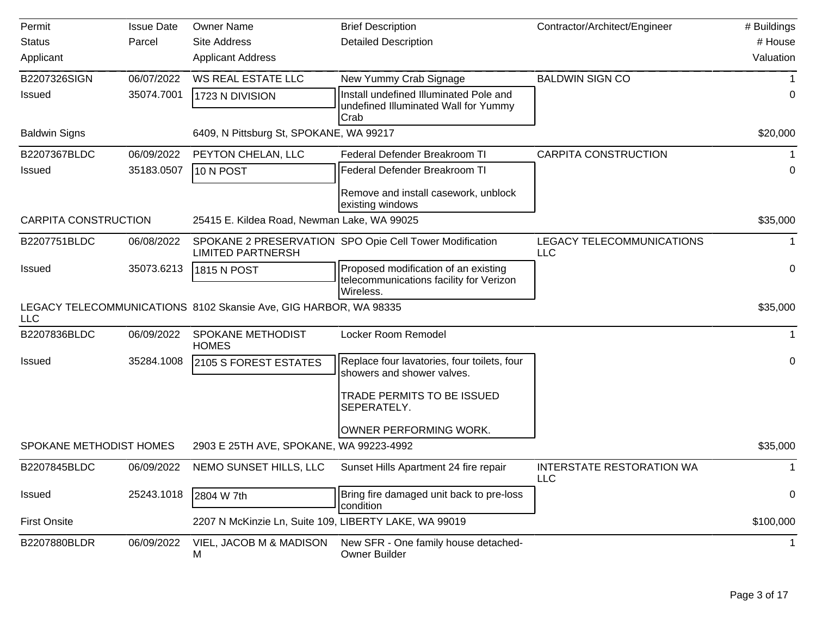| Permit                      | <b>Issue Date</b> | <b>Owner Name</b>                                                | <b>Brief Description</b>                                                                     | Contractor/Architect/Engineer           | # Buildings |
|-----------------------------|-------------------|------------------------------------------------------------------|----------------------------------------------------------------------------------------------|-----------------------------------------|-------------|
| <b>Status</b>               | Parcel            | <b>Site Address</b>                                              | <b>Detailed Description</b>                                                                  |                                         | # House     |
| Applicant                   |                   | <b>Applicant Address</b>                                         |                                                                                              |                                         | Valuation   |
| B2207326SIGN                | 06/07/2022        | <b>WS REAL ESTATE LLC</b>                                        | New Yummy Crab Signage                                                                       | <b>BALDWIN SIGN CO</b>                  |             |
| <b>Issued</b>               | 35074.7001        | 1723 N DIVISION                                                  | Install undefined Illuminated Pole and<br>undefined Illuminated Wall for Yummy<br>Crab       |                                         | 0           |
| <b>Baldwin Signs</b>        |                   | 6409, N Pittsburg St, SPOKANE, WA 99217                          |                                                                                              |                                         | \$20,000    |
| B2207367BLDC                | 06/09/2022        | PEYTON CHELAN, LLC                                               | Federal Defender Breakroom TI                                                                | <b>CARPITA CONSTRUCTION</b>             |             |
| <b>Issued</b>               | 35183.0507        | 10 N POST                                                        | Federal Defender Breakroom TI                                                                |                                         | 0           |
|                             |                   |                                                                  | Remove and install casework, unblock<br>existing windows                                     |                                         |             |
| <b>CARPITA CONSTRUCTION</b> |                   | 25415 E. Kildea Road, Newman Lake, WA 99025                      |                                                                                              |                                         | \$35,000    |
| B2207751BLDC                | 06/08/2022        | <b>LIMITED PARTNERSH</b>                                         | SPOKANE 2 PRESERVATION SPO Opie Cell Tower Modification                                      | LEGACY TELECOMMUNICATIONS<br><b>LLC</b> |             |
| <b>Issued</b>               | 35073.6213        | 1815 N POST                                                      | Proposed modification of an existing<br>telecommunications facility for Verizon<br>Wireless. |                                         | 0           |
| <b>LLC</b>                  |                   | LEGACY TELECOMMUNICATIONS 8102 Skansie Ave, GIG HARBOR, WA 98335 |                                                                                              |                                         | \$35,000    |
| B2207836BLDC                | 06/09/2022        | SPOKANE METHODIST<br><b>HOMES</b>                                | Locker Room Remodel                                                                          |                                         | 1           |
| <b>Issued</b>               | 35284.1008        | 2105 S FOREST ESTATES                                            | Replace four lavatories, four toilets, four<br>showers and shower valves.                    |                                         | 0           |
|                             |                   |                                                                  | TRADE PERMITS TO BE ISSUED<br>SEPERATELY.                                                    |                                         |             |
|                             |                   |                                                                  | OWNER PERFORMING WORK.                                                                       |                                         |             |
| SPOKANE METHODIST HOMES     |                   | 2903 E 25TH AVE, SPOKANE, WA 99223-4992                          |                                                                                              |                                         | \$35,000    |
| B2207845BLDC                | 06/09/2022        | NEMO SUNSET HILLS, LLC                                           | Sunset Hills Apartment 24 fire repair                                                        | <b>INTERSTATE RESTORATION WA</b><br>LLC |             |
| <b>Issued</b>               | 25243.1018        | 2804 W 7th                                                       | Bring fire damaged unit back to pre-loss<br>condition                                        |                                         | 0           |
| <b>First Onsite</b>         |                   | 2207 N McKinzie Ln, Suite 109, LIBERTY LAKE, WA 99019            |                                                                                              |                                         | \$100,000   |
| B2207880BLDR                | 06/09/2022        | VIEL, JACOB M & MADISON<br>M                                     | New SFR - One family house detached-<br>Owner Builder                                        |                                         |             |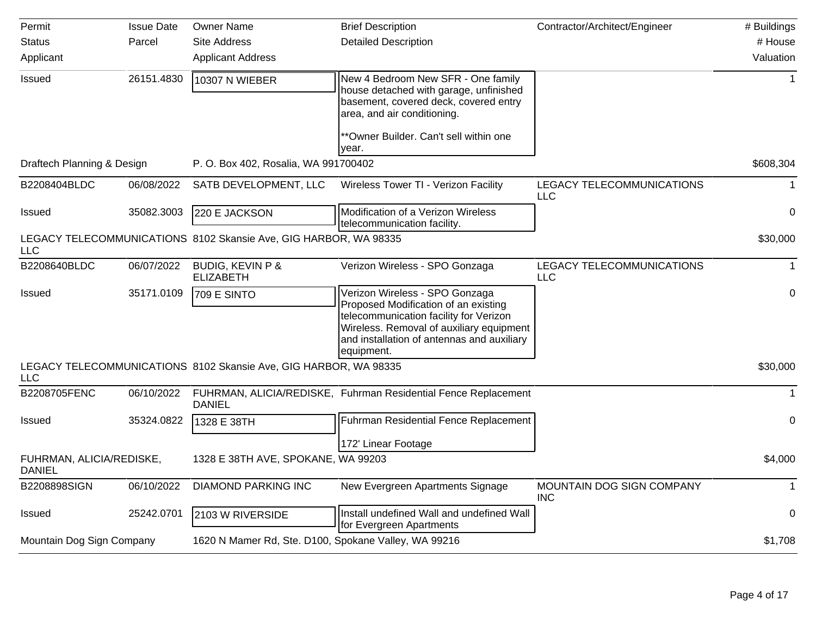| Permit                                    | <b>Issue Date</b> | <b>Owner Name</b>                                                | <b>Brief Description</b>                                                                                                                                                                                                 | Contractor/Architect/Engineer                  | # Buildings    |
|-------------------------------------------|-------------------|------------------------------------------------------------------|--------------------------------------------------------------------------------------------------------------------------------------------------------------------------------------------------------------------------|------------------------------------------------|----------------|
| <b>Status</b>                             | Parcel            | <b>Site Address</b>                                              | <b>Detailed Description</b>                                                                                                                                                                                              |                                                | # House        |
| Applicant                                 |                   | <b>Applicant Address</b>                                         |                                                                                                                                                                                                                          |                                                | Valuation      |
| <b>Issued</b>                             | 26151.4830        | 10307 N WIEBER                                                   | New 4 Bedroom New SFR - One family<br>house detached with garage, unfinished<br>basement, covered deck, covered entry<br>area, and air conditioning.                                                                     |                                                | $\overline{1}$ |
|                                           |                   |                                                                  | **Owner Builder. Can't sell within one<br>year.                                                                                                                                                                          |                                                |                |
| Draftech Planning & Design                |                   | P. O. Box 402, Rosalia, WA 991700402                             |                                                                                                                                                                                                                          |                                                | \$608,304      |
| B2208404BLDC                              | 06/08/2022        | SATB DEVELOPMENT, LLC                                            | Wireless Tower TI - Verizon Facility                                                                                                                                                                                     | LEGACY TELECOMMUNICATIONS<br><b>LLC</b>        | $\mathbf{1}$   |
| <b>Issued</b>                             | 35082.3003        | 220 E JACKSON                                                    | Modification of a Verizon Wireless<br>telecommunication facility.                                                                                                                                                        |                                                | 0              |
| <b>LLC</b>                                |                   | LEGACY TELECOMMUNICATIONS 8102 Skansie Ave, GIG HARBOR, WA 98335 |                                                                                                                                                                                                                          |                                                | \$30,000       |
| B2208640BLDC                              | 06/07/2022        | <b>BUDIG, KEVIN P &amp;</b><br><b>ELIZABETH</b>                  | Verizon Wireless - SPO Gonzaga                                                                                                                                                                                           | <b>LEGACY TELECOMMUNICATIONS</b><br><b>LLC</b> | $\mathbf{1}$   |
| <b>Issued</b>                             | 35171.0109        | 709 E SINTO                                                      | Verizon Wireless - SPO Gonzaga<br>Proposed Modification of an existing<br>telecommunication facility for Verizon<br>Wireless. Removal of auxiliary equipment<br>and installation of antennas and auxiliary<br>equipment. |                                                | 0              |
| LLC                                       |                   | LEGACY TELECOMMUNICATIONS 8102 Skansie Ave, GIG HARBOR, WA 98335 |                                                                                                                                                                                                                          |                                                | \$30,000       |
| B2208705FENC                              | 06/10/2022        | <b>DANIEL</b>                                                    | FUHRMAN, ALICIA/REDISKE, Fuhrman Residential Fence Replacement                                                                                                                                                           |                                                | $\mathbf 1$    |
| <b>Issued</b>                             | 35324.0822        | 1328 E 38TH                                                      | Fuhrman Residential Fence Replacement                                                                                                                                                                                    |                                                | $\mathbf 0$    |
|                                           |                   |                                                                  | 172' Linear Footage                                                                                                                                                                                                      |                                                |                |
| FUHRMAN, ALICIA/REDISKE,<br><b>DANIEL</b> |                   | 1328 E 38TH AVE, SPOKANE, WA 99203                               |                                                                                                                                                                                                                          |                                                | \$4,000        |
| B2208898SIGN                              | 06/10/2022        | <b>DIAMOND PARKING INC</b>                                       | New Evergreen Apartments Signage                                                                                                                                                                                         | MOUNTAIN DOG SIGN COMPANY<br><b>INC</b>        | $\mathbf 1$    |
| <b>Issued</b>                             | 25242.0701        | 2103 W RIVERSIDE                                                 | Install undefined Wall and undefined Wall<br>for Evergreen Apartments                                                                                                                                                    |                                                | 0              |
| Mountain Dog Sign Company                 |                   | 1620 N Mamer Rd, Ste. D100, Spokane Valley, WA 99216             |                                                                                                                                                                                                                          |                                                | \$1,708        |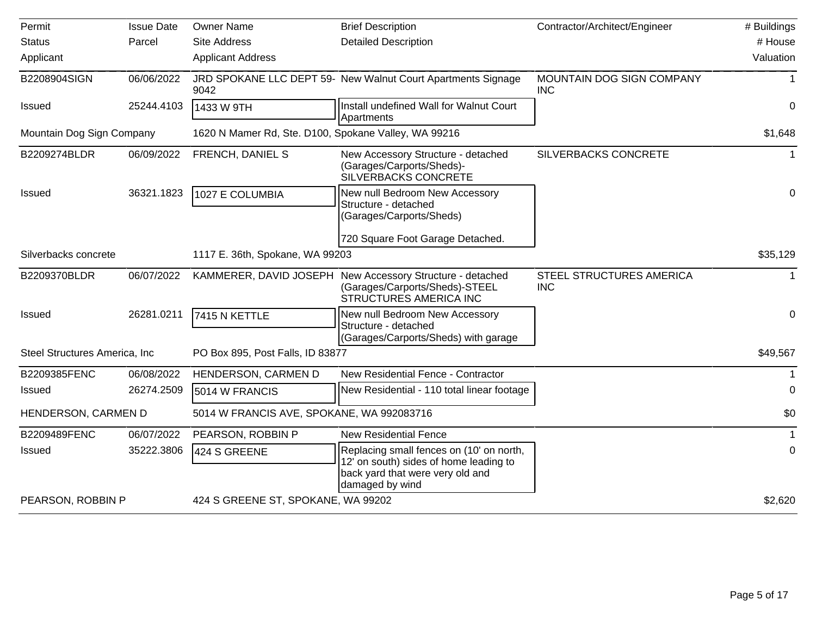| Permit                         | <b>Issue Date</b> | <b>Owner Name</b>                                    | <b>Brief Description</b>                                                                                                                  | Contractor/Architect/Engineer                 | # Buildings |
|--------------------------------|-------------------|------------------------------------------------------|-------------------------------------------------------------------------------------------------------------------------------------------|-----------------------------------------------|-------------|
| <b>Status</b>                  | Parcel            | <b>Site Address</b>                                  | <b>Detailed Description</b>                                                                                                               |                                               | # House     |
| Applicant                      |                   | <b>Applicant Address</b>                             |                                                                                                                                           |                                               | Valuation   |
| B2208904SIGN                   | 06/06/2022        | 9042                                                 | JRD SPOKANE LLC DEPT 59- New Walnut Court Apartments Signage                                                                              | MOUNTAIN DOG SIGN COMPANY<br><b>INC</b>       |             |
| Issued                         | 25244.4103        | 1433 W 9TH                                           | Install undefined Wall for Walnut Court<br>Apartments                                                                                     |                                               | 0           |
| Mountain Dog Sign Company      |                   | 1620 N Mamer Rd, Ste. D100, Spokane Valley, WA 99216 |                                                                                                                                           |                                               | \$1,648     |
| B2209274BLDR                   | 06/09/2022        | FRENCH, DANIEL S                                     | New Accessory Structure - detached<br>(Garages/Carports/Sheds)-<br>SILVERBACKS CONCRETE                                                   | SILVERBACKS CONCRETE                          | 1           |
| Issued                         | 36321.1823        | 1027 E COLUMBIA                                      | New null Bedroom New Accessory<br>Structure - detached<br>(Garages/Carports/Sheds)                                                        |                                               | 0           |
|                                |                   |                                                      | 720 Square Foot Garage Detached.                                                                                                          |                                               |             |
| Silverbacks concrete           |                   | 1117 E. 36th, Spokane, WA 99203                      |                                                                                                                                           |                                               | \$35,129    |
| B2209370BLDR                   | 06/07/2022        |                                                      | KAMMERER, DAVID JOSEPH New Accessory Structure - detached<br>(Garages/Carports/Sheds)-STEEL<br>STRUCTURES AMERICA INC                     | <b>STEEL STRUCTURES AMERICA</b><br><b>INC</b> | 1           |
| <b>Issued</b>                  | 26281.0211        | 7415 N KETTLE                                        | New null Bedroom New Accessory<br>Structure - detached<br>(Garages/Carports/Sheds) with garage                                            |                                               | 0           |
| Steel Structures America, Inc. |                   | PO Box 895, Post Falls, ID 83877                     |                                                                                                                                           |                                               | \$49,567    |
| B2209385FENC                   | 06/08/2022        | HENDERSON, CARMEN D                                  | New Residential Fence - Contractor                                                                                                        |                                               |             |
| <b>Issued</b>                  | 26274.2509        | 5014 W FRANCIS                                       | New Residential - 110 total linear footage                                                                                                |                                               | 0           |
| HENDERSON, CARMEN D            |                   | 5014 W FRANCIS AVE, SPOKANE, WA 992083716            |                                                                                                                                           |                                               | \$0         |
| B2209489FENC                   | 06/07/2022        | PEARSON, ROBBIN P                                    | <b>New Residential Fence</b>                                                                                                              |                                               |             |
| <b>Issued</b>                  | 35222.3806        | 424 S GREENE                                         | Replacing small fences on (10' on north,<br>12' on south) sides of home leading to<br>back yard that were very old and<br>damaged by wind |                                               | 0           |
| PEARSON, ROBBIN P              |                   | 424 S GREENE ST, SPOKANE, WA 99202                   |                                                                                                                                           |                                               | \$2,620     |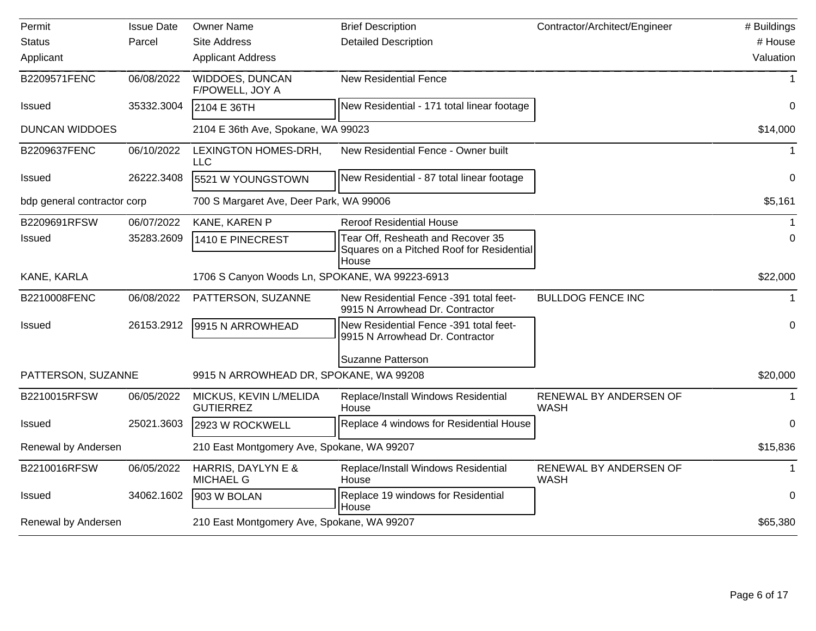| Permit                      | <b>Issue Date</b> | <b>Owner Name</b>                              | <b>Brief Description</b>                                                       | Contractor/Architect/Engineer         | # Buildings |
|-----------------------------|-------------------|------------------------------------------------|--------------------------------------------------------------------------------|---------------------------------------|-------------|
| <b>Status</b>               | Parcel            | <b>Site Address</b>                            | <b>Detailed Description</b>                                                    |                                       | # House     |
| Applicant                   |                   | <b>Applicant Address</b>                       |                                                                                |                                       | Valuation   |
| B2209571FENC                | 06/08/2022        | WIDDOES, DUNCAN<br>F/POWELL, JOY A             | <b>New Residential Fence</b>                                                   |                                       |             |
| <b>Issued</b>               | 35332.3004        | 2104 E 36TH                                    | New Residential - 171 total linear footage                                     |                                       | $\Omega$    |
| <b>DUNCAN WIDDOES</b>       |                   | 2104 E 36th Ave, Spokane, WA 99023             |                                                                                |                                       | \$14,000    |
| B2209637FENC                | 06/10/2022        | LEXINGTON HOMES-DRH,<br>LLC                    | New Residential Fence - Owner built                                            |                                       |             |
| Issued                      | 26222.3408        | 5521 W YOUNGSTOWN                              | New Residential - 87 total linear footage                                      |                                       | $\Omega$    |
| bdp general contractor corp |                   | 700 S Margaret Ave, Deer Park, WA 99006        |                                                                                |                                       | \$5,161     |
| B2209691RFSW                | 06/07/2022        | KANE, KAREN P                                  | <b>Reroof Residential House</b>                                                |                                       | -1          |
| Issued                      | 35283.2609        | 1410 E PINECREST                               | Tear Off, Resheath and Recover 35<br>Squares on a Pitched Roof for Residential |                                       | 0           |
| KANE, KARLA                 |                   | 1706 S Canyon Woods Ln, SPOKANE, WA 99223-6913 | House                                                                          |                                       | \$22,000    |
| B2210008FENC                | 06/08/2022        | PATTERSON, SUZANNE                             | New Residential Fence -391 total feet-<br>9915 N Arrowhead Dr. Contractor      | <b>BULLDOG FENCE INC</b>              | 1           |
| Issued                      | 26153.2912        | 9915 N ARROWHEAD                               | New Residential Fence -391 total feet-<br>9915 N Arrowhead Dr. Contractor      |                                       | $\mathbf 0$ |
|                             |                   |                                                | Suzanne Patterson                                                              |                                       |             |
| PATTERSON, SUZANNE          |                   | 9915 N ARROWHEAD DR, SPOKANE, WA 99208         |                                                                                |                                       | \$20,000    |
| B2210015RFSW                | 06/05/2022        | MICKUS, KEVIN L/MELIDA<br><b>GUTIERREZ</b>     | Replace/Install Windows Residential<br>House                                   | RENEWAL BY ANDERSEN OF<br><b>WASH</b> | $\mathbf 1$ |
| <b>Issued</b>               | 25021.3603        | 2923 W ROCKWELL                                | Replace 4 windows for Residential House                                        |                                       | 0           |
| Renewal by Andersen         |                   | 210 East Montgomery Ave, Spokane, WA 99207     |                                                                                |                                       | \$15,836    |
| B2210016RFSW                | 06/05/2022        | HARRIS, DAYLYN E &<br><b>MICHAEL G</b>         | Replace/Install Windows Residential<br>House                                   | RENEWAL BY ANDERSEN OF<br><b>WASH</b> |             |
| <b>Issued</b>               | 34062.1602        | 903 W BOLAN                                    | Replace 19 windows for Residential<br>House                                    |                                       | 0           |
| Renewal by Andersen         |                   | 210 East Montgomery Ave, Spokane, WA 99207     |                                                                                |                                       | \$65,380    |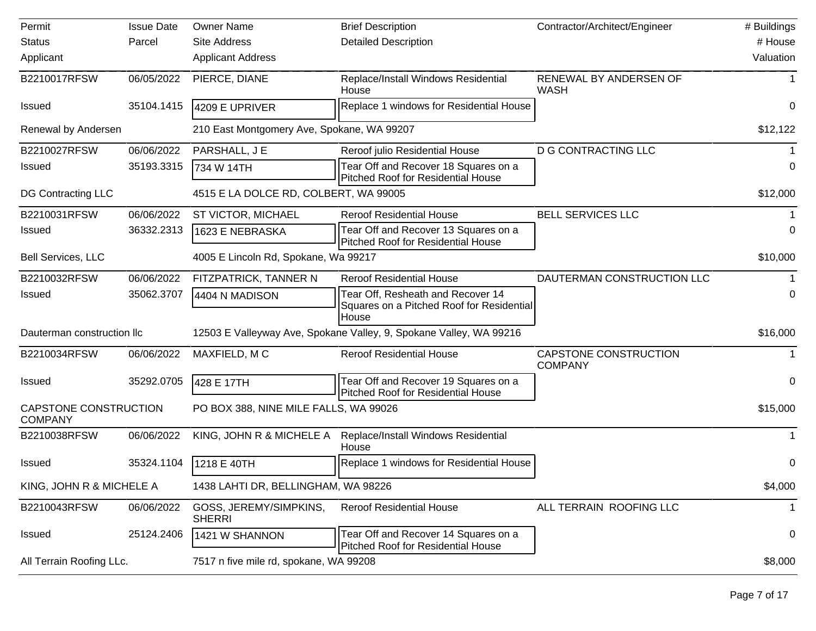| Permit                                  | <b>Issue Date</b> | <b>Owner Name</b>                          | <b>Brief Description</b>                                                                | Contractor/Architect/Engineer           | # Buildings |
|-----------------------------------------|-------------------|--------------------------------------------|-----------------------------------------------------------------------------------------|-----------------------------------------|-------------|
| <b>Status</b>                           | Parcel            | Site Address                               | <b>Detailed Description</b>                                                             |                                         | # House     |
| Applicant                               |                   | <b>Applicant Address</b>                   |                                                                                         |                                         | Valuation   |
| B2210017RFSW                            | 06/05/2022        | PIERCE, DIANE                              | Replace/Install Windows Residential<br>House                                            | RENEWAL BY ANDERSEN OF<br><b>WASH</b>   |             |
| <b>Issued</b>                           | 35104.1415        | 4209 E UPRIVER                             | Replace 1 windows for Residential House                                                 |                                         | 0           |
| Renewal by Andersen                     |                   | 210 East Montgomery Ave, Spokane, WA 99207 |                                                                                         |                                         | \$12,122    |
| B2210027RFSW                            | 06/06/2022        | PARSHALL, J E                              | Reroof julio Residential House                                                          | <b>D G CONTRACTING LLC</b>              |             |
| <b>Issued</b>                           | 35193.3315        | 734 W 14TH                                 | Tear Off and Recover 18 Squares on a<br><b>Pitched Roof for Residential House</b>       |                                         | 0           |
| DG Contracting LLC                      |                   | 4515 E LA DOLCE RD, COLBERT, WA 99005      |                                                                                         |                                         | \$12,000    |
| B2210031RFSW                            | 06/06/2022        | ST VICTOR, MICHAEL                         | <b>Reroof Residential House</b>                                                         | <b>BELL SERVICES LLC</b>                |             |
| <b>Issued</b>                           | 36332.2313        | 1623 E NEBRASKA                            | Tear Off and Recover 13 Squares on a<br><b>Pitched Roof for Residential House</b>       |                                         | 0           |
| <b>Bell Services, LLC</b>               |                   | 4005 E Lincoln Rd, Spokane, Wa 99217       |                                                                                         |                                         | \$10,000    |
| B2210032RFSW                            | 06/06/2022        | FITZPATRICK, TANNER N                      | <b>Reroof Residential House</b>                                                         | DAUTERMAN CONSTRUCTION LLC              |             |
| Issued                                  | 35062.3707        | 4404 N MADISON                             | Tear Off, Resheath and Recover 14<br>Squares on a Pitched Roof for Residential<br>House |                                         | 0           |
| Dauterman construction IIc              |                   |                                            | 12503 E Valleyway Ave, Spokane Valley, 9, Spokane Valley, WA 99216                      |                                         | \$16,000    |
| B2210034RFSW                            | 06/06/2022        | MAXFIELD, MC                               | <b>Reroof Residential House</b>                                                         | CAPSTONE CONSTRUCTION<br><b>COMPANY</b> |             |
| <b>Issued</b>                           | 35292.0705        | 428 E 17TH                                 | Tear Off and Recover 19 Squares on a<br>Pitched Roof for Residential House              |                                         | 0           |
| CAPSTONE CONSTRUCTION<br><b>COMPANY</b> |                   | PO BOX 388, NINE MILE FALLS, WA 99026      |                                                                                         | \$15,000                                |             |
| B2210038RFSW                            | 06/06/2022        | KING, JOHN R & MICHELE A                   | Replace/Install Windows Residential<br>House                                            |                                         | 1           |
| <b>Issued</b>                           | 35324.1104        | 1218 E 40TH                                | Replace 1 windows for Residential House                                                 |                                         | 0           |
| KING, JOHN R & MICHELE A                |                   | 1438 LAHTI DR, BELLINGHAM, WA 98226        |                                                                                         |                                         | \$4,000     |
| B2210043RFSW                            | 06/06/2022        | GOSS, JEREMY/SIMPKINS,<br><b>SHERRI</b>    | <b>Reroof Residential House</b>                                                         | ALL TERRAIN ROOFING LLC                 |             |
| Issued                                  | 25124.2406        | 1421 W SHANNON                             | Tear Off and Recover 14 Squares on a<br>Pitched Roof for Residential House              |                                         | 0           |
| All Terrain Roofing LLc.                |                   | 7517 n five mile rd, spokane, WA 99208     |                                                                                         |                                         | \$8,000     |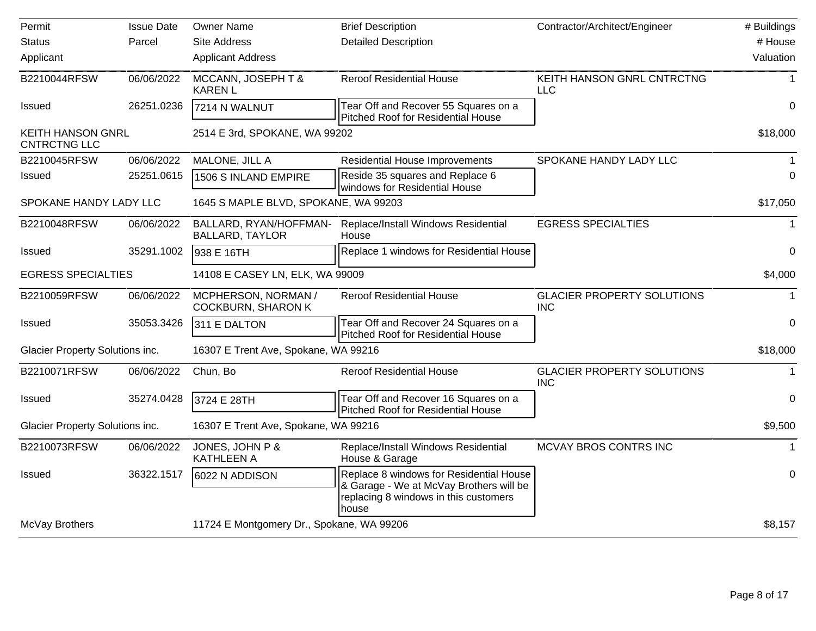| Permit                                   | <b>Issue Date</b> | <b>Owner Name</b>                                | <b>Brief Description</b>                                                                                                             | Contractor/Architect/Engineer                   | # Buildings      |
|------------------------------------------|-------------------|--------------------------------------------------|--------------------------------------------------------------------------------------------------------------------------------------|-------------------------------------------------|------------------|
| <b>Status</b>                            | Parcel            | <b>Site Address</b>                              | <b>Detailed Description</b>                                                                                                          |                                                 | # House          |
| Applicant                                |                   | <b>Applicant Address</b>                         |                                                                                                                                      |                                                 | Valuation        |
| B2210044RFSW                             | 06/06/2022        | MCCANN, JOSEPH T &<br><b>KAREN L</b>             | <b>Reroof Residential House</b>                                                                                                      | KEITH HANSON GNRL CNTRCTNG<br><b>LLC</b>        | $\mathbf{1}$     |
| Issued                                   | 26251.0236        | 7214 N WALNUT                                    | Tear Off and Recover 55 Squares on a<br><b>Pitched Roof for Residential House</b>                                                    |                                                 | 0                |
| KEITH HANSON GNRL<br><b>CNTRCTNG LLC</b> |                   | 2514 E 3rd, SPOKANE, WA 99202                    |                                                                                                                                      |                                                 | \$18,000         |
| B2210045RFSW                             | 06/06/2022        | MALONE, JILL A                                   | <b>Residential House Improvements</b>                                                                                                | SPOKANE HANDY LADY LLC                          |                  |
| <b>Issued</b>                            | 25251.0615        | 1506 S INLAND EMPIRE                             | Reside 35 squares and Replace 6<br>windows for Residential House                                                                     |                                                 | $\Omega$         |
| SPOKANE HANDY LADY LLC                   |                   | 1645 S MAPLE BLVD, SPOKANE, WA 99203             |                                                                                                                                      |                                                 | \$17,050         |
| B2210048RFSW                             | 06/06/2022        | BALLARD, RYAN/HOFFMAN-<br><b>BALLARD, TAYLOR</b> | Replace/Install Windows Residential<br>House                                                                                         | <b>EGRESS SPECIALTIES</b>                       | $\mathbf 1$      |
| <b>Issued</b>                            | 35291.1002        | 938 E 16TH                                       | Replace 1 windows for Residential House                                                                                              |                                                 | $\mathbf 0$      |
| <b>EGRESS SPECIALTIES</b>                |                   | 14108 E CASEY LN, ELK, WA 99009                  |                                                                                                                                      |                                                 | \$4,000          |
| B2210059RFSW                             | 06/06/2022        | MCPHERSON, NORMAN /<br><b>COCKBURN, SHARON K</b> | <b>Reroof Residential House</b>                                                                                                      | <b>GLACIER PROPERTY SOLUTIONS</b><br><b>INC</b> |                  |
| Issued                                   | 35053.3426        | 311 E DALTON                                     | Tear Off and Recover 24 Squares on a<br>Pitched Roof for Residential House                                                           |                                                 | $\mathbf 0$      |
| Glacier Property Solutions inc.          |                   | 16307 E Trent Ave, Spokane, WA 99216             |                                                                                                                                      |                                                 | \$18,000         |
| B2210071RFSW                             | 06/06/2022        | Chun, Bo                                         | <b>Reroof Residential House</b>                                                                                                      | <b>GLACIER PROPERTY SOLUTIONS</b><br><b>INC</b> | $\mathbf{1}$     |
| <b>Issued</b>                            | 35274.0428        | 3724 E 28TH                                      | Tear Off and Recover 16 Squares on a<br>Pitched Roof for Residential House                                                           |                                                 | 0                |
| Glacier Property Solutions inc.          |                   | 16307 E Trent Ave, Spokane, WA 99216             |                                                                                                                                      |                                                 | \$9,500          |
| B2210073RFSW                             | 06/06/2022        | JONES, JOHN P &<br><b>KATHLEEN A</b>             | Replace/Install Windows Residential<br>House & Garage                                                                                | MCVAY BROS CONTRS INC                           | $\mathbf{1}$     |
| <b>Issued</b>                            | 36322.1517        | 6022 N ADDISON                                   | Replace 8 windows for Residential House<br>& Garage - We at McVay Brothers will be<br>replacing 8 windows in this customers<br>house |                                                 | $\boldsymbol{0}$ |
| McVay Brothers                           |                   | 11724 E Montgomery Dr., Spokane, WA 99206        |                                                                                                                                      |                                                 | \$8,157          |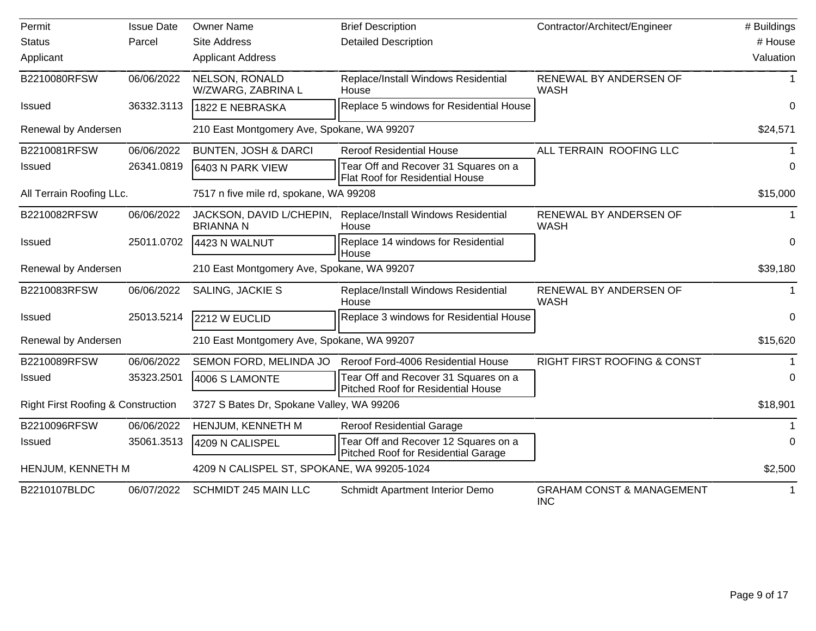| Permit                                        | <b>Issue Date</b> | <b>Owner Name</b>                            | <b>Brief Description</b>                                                       | Contractor/Architect/Engineer                      | # Buildings |
|-----------------------------------------------|-------------------|----------------------------------------------|--------------------------------------------------------------------------------|----------------------------------------------------|-------------|
| <b>Status</b>                                 | Parcel            | <b>Site Address</b>                          | <b>Detailed Description</b>                                                    |                                                    | # House     |
| Applicant                                     |                   | <b>Applicant Address</b>                     |                                                                                |                                                    | Valuation   |
| B2210080RFSW                                  | 06/06/2022        | NELSON, RONALD<br>W/ZWARG, ZABRINA L         | Replace/Install Windows Residential<br>House                                   | RENEWAL BY ANDERSEN OF<br><b>WASH</b>              | 1           |
| <b>Issued</b>                                 | 36332.3113        | 1822 E NEBRASKA                              | Replace 5 windows for Residential House                                        |                                                    | 0           |
| Renewal by Andersen                           |                   | 210 East Montgomery Ave, Spokane, WA 99207   |                                                                                |                                                    | \$24,571    |
| B2210081RFSW                                  | 06/06/2022        | <b>BUNTEN, JOSH &amp; DARCI</b>              | <b>Reroof Residential House</b>                                                | ALL TERRAIN ROOFING LLC                            |             |
| <b>Issued</b>                                 | 26341.0819        | 6403 N PARK VIEW                             | Tear Off and Recover 31 Squares on a<br><b>Flat Roof for Residential House</b> |                                                    | $\Omega$    |
| All Terrain Roofing LLc.                      |                   | 7517 n five mile rd, spokane, WA 99208       |                                                                                |                                                    | \$15,000    |
| B2210082RFSW                                  | 06/06/2022        | JACKSON, DAVID L/CHEPIN,<br><b>BRIANNA N</b> | Replace/Install Windows Residential<br>House                                   | RENEWAL BY ANDERSEN OF<br><b>WASH</b>              |             |
| <b>Issued</b>                                 | 25011.0702        | 4423 N WALNUT                                | Replace 14 windows for Residential<br>House                                    |                                                    | 0           |
| Renewal by Andersen                           |                   | 210 East Montgomery Ave, Spokane, WA 99207   |                                                                                | \$39,180                                           |             |
| B2210083RFSW                                  | 06/06/2022        | SALING, JACKIE S                             | Replace/Install Windows Residential<br>House                                   | RENEWAL BY ANDERSEN OF<br><b>WASH</b>              | $\mathbf 1$ |
| <b>Issued</b>                                 | 25013.5214        | 2212 W EUCLID                                | Replace 3 windows for Residential House                                        |                                                    | $\mathbf 0$ |
| Renewal by Andersen                           |                   | 210 East Montgomery Ave, Spokane, WA 99207   |                                                                                |                                                    | \$15,620    |
| B2210089RFSW                                  | 06/06/2022        | SEMON FORD, MELINDA JO                       | Reroof Ford-4006 Residential House                                             | <b>RIGHT FIRST ROOFING &amp; CONST</b>             |             |
| Issued                                        | 35323.2501        | 4006 S LAMONTE                               | Tear Off and Recover 31 Squares on a<br>Pitched Roof for Residential House     |                                                    | $\Omega$    |
| <b>Right First Roofing &amp; Construction</b> |                   | 3727 S Bates Dr, Spokane Valley, WA 99206    |                                                                                |                                                    | \$18,901    |
| B2210096RFSW                                  | 06/06/2022        | HENJUM, KENNETH M                            | <b>Reroof Residential Garage</b>                                               |                                                    |             |
| Issued                                        | 35061.3513        | 4209 N CALISPEL                              | Tear Off and Recover 12 Squares on a<br>Pitched Roof for Residential Garage    |                                                    | $\Omega$    |
| HENJUM, KENNETH M                             |                   | 4209 N CALISPEL ST, SPOKANE, WA 99205-1024   |                                                                                |                                                    | \$2,500     |
| B2210107BLDC                                  | 06/07/2022        | <b>SCHMIDT 245 MAIN LLC</b>                  | Schmidt Apartment Interior Demo                                                | <b>GRAHAM CONST &amp; MANAGEMENT</b><br><b>INC</b> |             |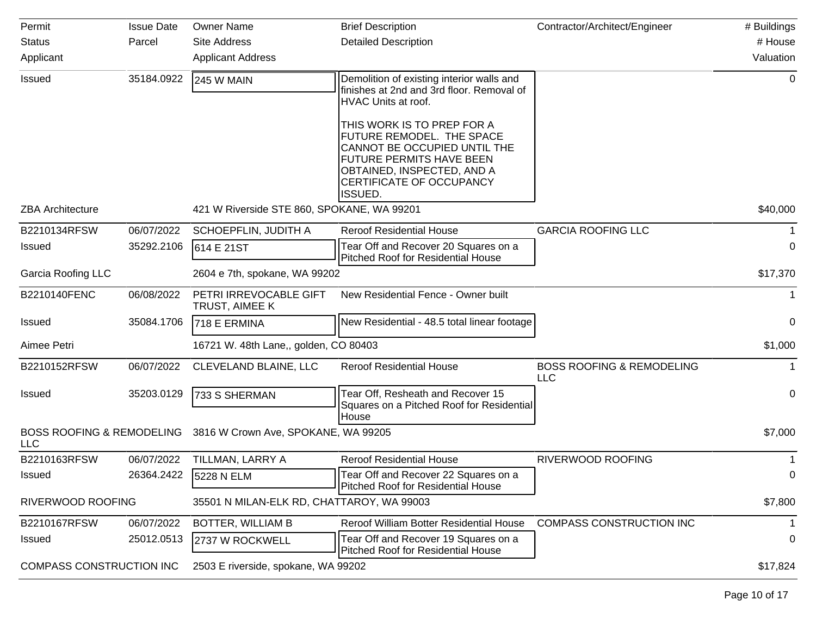| Permit                                             | <b>Issue Date</b> | <b>Owner Name</b>                          | <b>Brief Description</b>                                                                                                                                                                        | Contractor/Architect/Engineer                      | # Buildings |
|----------------------------------------------------|-------------------|--------------------------------------------|-------------------------------------------------------------------------------------------------------------------------------------------------------------------------------------------------|----------------------------------------------------|-------------|
| <b>Status</b>                                      | Parcel            | <b>Site Address</b>                        | <b>Detailed Description</b>                                                                                                                                                                     |                                                    | # House     |
| Applicant                                          |                   | <b>Applicant Address</b>                   |                                                                                                                                                                                                 |                                                    | Valuation   |
| Issued                                             | 35184.0922        | <b>245 W MAIN</b>                          | Demolition of existing interior walls and<br>finishes at 2nd and 3rd floor. Removal of<br>HVAC Units at roof.                                                                                   |                                                    | 0           |
|                                                    |                   |                                            | THIS WORK IS TO PREP FOR A<br>FUTURE REMODEL. THE SPACE<br>CANNOT BE OCCUPIED UNTIL THE<br>FUTURE PERMITS HAVE BEEN<br>OBTAINED, INSPECTED, AND A<br>CERTIFICATE OF OCCUPANCY<br><b>ISSUED.</b> |                                                    |             |
| <b>ZBA Architecture</b>                            |                   | 421 W Riverside STE 860, SPOKANE, WA 99201 |                                                                                                                                                                                                 |                                                    | \$40,000    |
| B2210134RFSW                                       | 06/07/2022        | SCHOEPFLIN, JUDITH A                       | <b>Reroof Residential House</b>                                                                                                                                                                 | <b>GARCIA ROOFING LLC</b>                          |             |
| <b>Issued</b>                                      | 35292.2106        | 614 E 21ST                                 | Tear Off and Recover 20 Squares on a<br><b>Pitched Roof for Residential House</b>                                                                                                               |                                                    | $\Omega$    |
| <b>Garcia Roofing LLC</b>                          |                   | 2604 e 7th, spokane, WA 99202              |                                                                                                                                                                                                 |                                                    | \$17,370    |
| B2210140FENC                                       | 06/08/2022        | PETRI IRREVOCABLE GIFT<br>TRUST, AIMEE K   | New Residential Fence - Owner built                                                                                                                                                             |                                                    | $\mathbf 1$ |
| <b>Issued</b>                                      | 35084.1706        | 718 E ERMINA                               | New Residential - 48.5 total linear footage                                                                                                                                                     |                                                    | 0           |
| Aimee Petri                                        |                   | 16721 W. 48th Lane,, golden, CO 80403      |                                                                                                                                                                                                 |                                                    | \$1,000     |
| B2210152RFSW                                       | 06/07/2022        | CLEVELAND BLAINE, LLC                      | <b>Reroof Residential House</b>                                                                                                                                                                 | <b>BOSS ROOFING &amp; REMODELING</b><br><b>LLC</b> | 1           |
| <b>Issued</b>                                      | 35203.0129        | 733 S SHERMAN                              | Tear Off, Resheath and Recover 15<br>Squares on a Pitched Roof for Residential<br>House                                                                                                         |                                                    | 0           |
| <b>BOSS ROOFING &amp; REMODELING</b><br><b>LLC</b> |                   | 3816 W Crown Ave, SPOKANE, WA 99205        |                                                                                                                                                                                                 |                                                    | \$7,000     |
| B2210163RFSW                                       | 06/07/2022        | TILLMAN, LARRY A                           | <b>Reroof Residential House</b>                                                                                                                                                                 | RIVERWOOD ROOFING                                  |             |
| <b>Issued</b>                                      | 26364.2422        | 5228 N ELM                                 | Tear Off and Recover 22 Squares on a<br><b>Pitched Roof for Residential House</b>                                                                                                               |                                                    | 0           |
| RIVERWOOD ROOFING                                  |                   | 35501 N MILAN-ELK RD, CHATTAROY, WA 99003  |                                                                                                                                                                                                 |                                                    | \$7,800     |
| B2210167RFSW                                       | 06/07/2022        | <b>BOTTER, WILLIAM B</b>                   | Reroof William Botter Residential House                                                                                                                                                         | COMPASS CONSTRUCTION INC                           | 1           |
| <b>Issued</b>                                      | 25012.0513        | 2737 W ROCKWELL                            | Tear Off and Recover 19 Squares on a<br><b>Pitched Roof for Residential House</b>                                                                                                               |                                                    | 0           |
| COMPASS CONSTRUCTION INC                           |                   | 2503 E riverside, spokane, WA 99202        |                                                                                                                                                                                                 |                                                    | \$17,824    |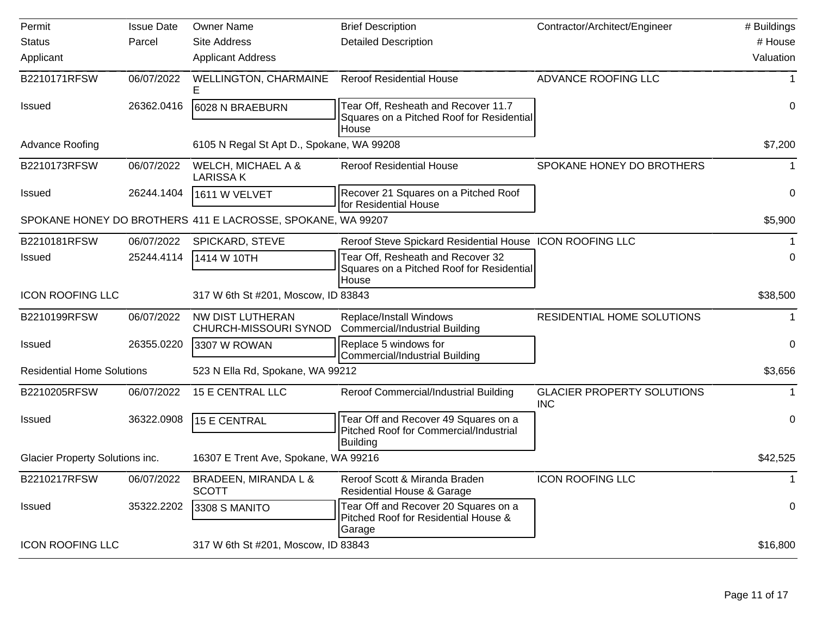| Permit                            | <b>Issue Date</b> | <b>Owner Name</b>                                           | <b>Brief Description</b>                                                                   | Contractor/Architect/Engineer                   | # Buildings |
|-----------------------------------|-------------------|-------------------------------------------------------------|--------------------------------------------------------------------------------------------|-------------------------------------------------|-------------|
| <b>Status</b>                     | Parcel            | <b>Site Address</b>                                         | <b>Detailed Description</b>                                                                |                                                 | # House     |
| Applicant                         |                   | <b>Applicant Address</b>                                    |                                                                                            |                                                 | Valuation   |
| B2210171RFSW                      | 06/07/2022        | <b>WELLINGTON, CHARMAINE</b>                                | <b>Reroof Residential House</b>                                                            | ADVANCE ROOFING LLC                             |             |
| <b>Issued</b>                     | 26362.0416        | 6028 N BRAEBURN                                             | Tear Off, Resheath and Recover 11.7<br>Squares on a Pitched Roof for Residential<br>House  |                                                 | 0           |
| <b>Advance Roofing</b>            |                   | 6105 N Regal St Apt D., Spokane, WA 99208                   |                                                                                            |                                                 | \$7,200     |
| B2210173RFSW                      | 06/07/2022        | WELCH, MICHAEL A &<br><b>LARISSAK</b>                       | <b>Reroof Residential House</b>                                                            | SPOKANE HONEY DO BROTHERS                       |             |
| <b>Issued</b>                     | 26244.1404        | 1611 W VELVET                                               | Recover 21 Squares on a Pitched Roof<br>for Residential House                              |                                                 | 0           |
|                                   |                   | SPOKANE HONEY DO BROTHERS 411 E LACROSSE, SPOKANE, WA 99207 |                                                                                            |                                                 | \$5,900     |
| B2210181RFSW                      | 06/07/2022        | SPICKARD, STEVE                                             | Reroof Steve Spickard Residential House ICON ROOFING LLC                                   |                                                 |             |
| <b>Issued</b>                     | 25244.4114        | 1414 W 10TH                                                 | Tear Off, Resheath and Recover 32<br>Squares on a Pitched Roof for Residential<br>House    |                                                 | 0           |
| <b>ICON ROOFING LLC</b>           |                   | 317 W 6th St #201, Moscow, ID 83843                         |                                                                                            |                                                 | \$38,500    |
| B2210199RFSW                      | 06/07/2022        | NW DIST LUTHERAN<br>CHURCH-MISSOURI SYNOD                   | Replace/Install Windows<br><b>Commercial/Industrial Building</b>                           | RESIDENTIAL HOME SOLUTIONS                      |             |
| <b>Issued</b>                     | 26355.0220        | 3307 W ROWAN                                                | Replace 5 windows for<br><b>Commercial/Industrial Building</b>                             |                                                 | 0           |
| <b>Residential Home Solutions</b> |                   | 523 N Ella Rd, Spokane, WA 99212                            |                                                                                            |                                                 | \$3,656     |
| B2210205RFSW                      | 06/07/2022        | 15 E CENTRAL LLC                                            | Reroof Commercial/Industrial Building                                                      | <b>GLACIER PROPERTY SOLUTIONS</b><br><b>INC</b> |             |
| <b>Issued</b>                     | 36322.0908        | 15 E CENTRAL                                                | Tear Off and Recover 49 Squares on a<br>Pitched Roof for Commercial/Industrial<br>Building |                                                 | 0           |
| Glacier Property Solutions inc.   |                   | 16307 E Trent Ave, Spokane, WA 99216                        |                                                                                            |                                                 | \$42,525    |
| B2210217RFSW                      |                   | 06/07/2022 BRADEEN, MIRANDA L &<br><b>SCOTT</b>             | Reroof Scott & Miranda Braden<br><b>Residential House &amp; Garage</b>                     | <b>ICON ROOFING LLC</b>                         |             |
| Issued                            | 35322.2202        | 3308 S MANITO                                               | Tear Off and Recover 20 Squares on a<br>Pitched Roof for Residential House &<br>Garage     |                                                 | 0           |
| <b>ICON ROOFING LLC</b>           |                   | 317 W 6th St #201, Moscow, ID 83843                         |                                                                                            |                                                 | \$16,800    |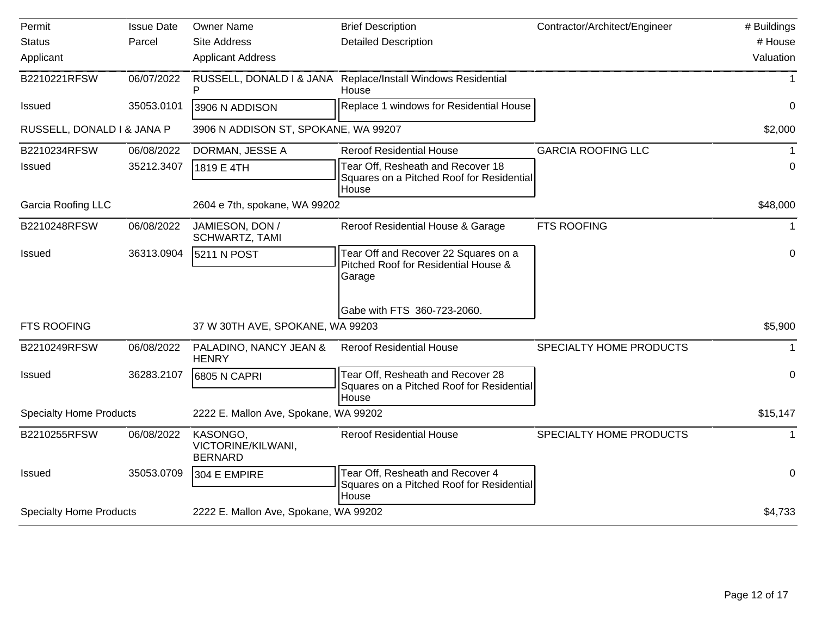| Permit                         | <b>Issue Date</b> | <b>Owner Name</b>                                | <b>Brief Description</b>                                                                | Contractor/Architect/Engineer | # Buildings |
|--------------------------------|-------------------|--------------------------------------------------|-----------------------------------------------------------------------------------------|-------------------------------|-------------|
| <b>Status</b>                  | Parcel            | Site Address                                     | <b>Detailed Description</b>                                                             |                               | # House     |
| Applicant                      |                   | <b>Applicant Address</b>                         |                                                                                         |                               | Valuation   |
| B2210221RFSW                   | 06/07/2022        | RUSSELL, DONALD I & JANA<br>P                    | Replace/Install Windows Residential<br>House                                            |                               |             |
| <b>Issued</b>                  | 35053.0101        | 3906 N ADDISON                                   | Replace 1 windows for Residential House                                                 |                               | $\Omega$    |
| RUSSELL, DONALD I & JANA P     |                   | 3906 N ADDISON ST, SPOKANE, WA 99207             |                                                                                         |                               | \$2,000     |
| B2210234RFSW                   | 06/08/2022        | DORMAN, JESSE A                                  | <b>Reroof Residential House</b>                                                         | <b>GARCIA ROOFING LLC</b>     |             |
| <b>Issued</b>                  | 35212.3407        | 1819 E 4TH                                       | Tear Off, Resheath and Recover 18<br>Squares on a Pitched Roof for Residential<br>House |                               | 0           |
| Garcia Roofing LLC             |                   | 2604 e 7th, spokane, WA 99202                    |                                                                                         |                               | \$48,000    |
| B2210248RFSW                   | 06/08/2022        | JAMIESON, DON /<br>SCHWARTZ, TAMI                | Reroof Residential House & Garage                                                       | <b>FTS ROOFING</b>            |             |
| <b>Issued</b>                  | 36313.0904        | 5211 N POST                                      | Tear Off and Recover 22 Squares on a<br>Pitched Roof for Residential House &<br>Garage  |                               | $\mathbf 0$ |
|                                |                   |                                                  | Gabe with FTS 360-723-2060.                                                             |                               |             |
| <b>FTS ROOFING</b>             |                   | 37 W 30TH AVE, SPOKANE, WA 99203                 |                                                                                         |                               | \$5,900     |
| B2210249RFSW                   | 06/08/2022        | PALADINO, NANCY JEAN &<br><b>HENRY</b>           | <b>Reroof Residential House</b>                                                         | SPECIALTY HOME PRODUCTS       |             |
| Issued                         | 36283.2107        | 6805 N CAPRI                                     | Tear Off, Resheath and Recover 28<br>Squares on a Pitched Roof for Residential<br>House |                               | $\mathbf 0$ |
| <b>Specialty Home Products</b> |                   | 2222 E. Mallon Ave, Spokane, WA 99202            |                                                                                         |                               | \$15,147    |
| B2210255RFSW                   | 06/08/2022        | KASONGO,<br>VICTORINE/KILWANI,<br><b>BERNARD</b> | <b>Reroof Residential House</b>                                                         | SPECIALTY HOME PRODUCTS       |             |
| <b>Issued</b>                  | 35053.0709        | 304 E EMPIRE                                     | Tear Off, Resheath and Recover 4<br>Squares on a Pitched Roof for Residential<br>House  |                               | 0           |
| <b>Specialty Home Products</b> |                   | 2222 E. Mallon Ave, Spokane, WA 99202            |                                                                                         |                               | \$4,733     |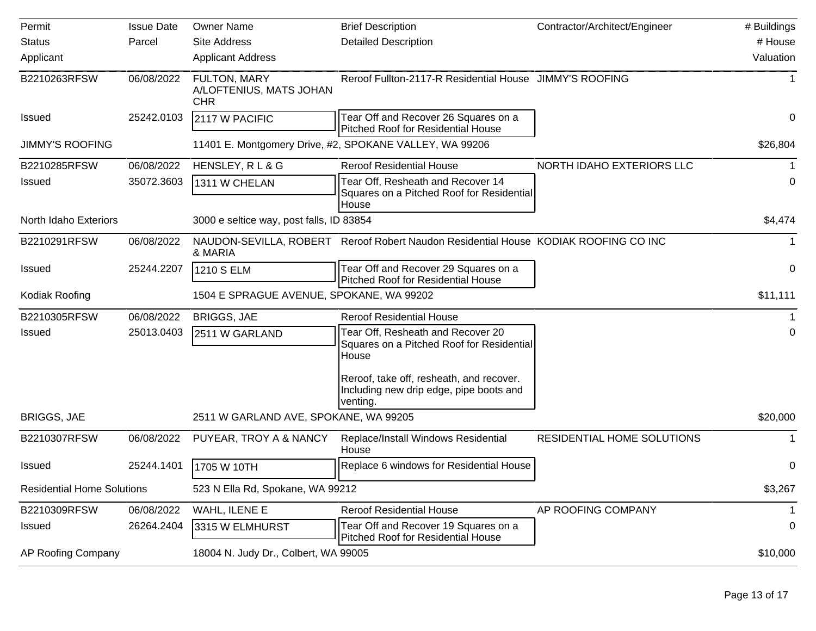| Permit                            | <b>Issue Date</b> | <b>Owner Name</b>                                     | <b>Brief Description</b>                                                                        | Contractor/Architect/Engineer | # Buildings |
|-----------------------------------|-------------------|-------------------------------------------------------|-------------------------------------------------------------------------------------------------|-------------------------------|-------------|
| <b>Status</b>                     | Parcel            | <b>Site Address</b>                                   | <b>Detailed Description</b>                                                                     |                               | # House     |
| Applicant                         |                   | <b>Applicant Address</b>                              |                                                                                                 |                               | Valuation   |
| B2210263RFSW                      | 06/08/2022        | FULTON, MARY<br>A/LOFTENIUS, MATS JOHAN<br><b>CHR</b> | Reroof Fullton-2117-R Residential House JIMMY'S ROOFING                                         |                               |             |
| <b>Issued</b>                     | 25242.0103        | 2117 W PACIFIC                                        | Tear Off and Recover 26 Squares on a<br><b>Pitched Roof for Residential House</b>               |                               | 0           |
| <b>JIMMY'S ROOFING</b>            |                   |                                                       | 11401 E. Montgomery Drive, #2, SPOKANE VALLEY, WA 99206                                         |                               | \$26,804    |
| B2210285RFSW                      | 06/08/2022        | HENSLEY, RL & G                                       | <b>Reroof Residential House</b>                                                                 | NORTH IDAHO EXTERIORS LLC     |             |
| <b>Issued</b>                     | 35072.3603        | 1311 W CHELAN                                         | Tear Off, Resheath and Recover 14<br>Squares on a Pitched Roof for Residential<br>House         |                               | 0           |
| North Idaho Exteriors             |                   | 3000 e seltice way, post falls, ID 83854              |                                                                                                 |                               | \$4,474     |
| B2210291RFSW                      | 06/08/2022        | & MARIA                                               | NAUDON-SEVILLA, ROBERT Reroof Robert Naudon Residential House KODIAK ROOFING CO INC             |                               |             |
| <b>Issued</b>                     | 25244.2207        | 1210 S ELM                                            | Tear Off and Recover 29 Squares on a<br><b>Pitched Roof for Residential House</b>               |                               | 0           |
| Kodiak Roofing                    |                   | 1504 E SPRAGUE AVENUE, SPOKANE, WA 99202              |                                                                                                 |                               | \$11,111    |
| B2210305RFSW                      | 06/08/2022        | <b>BRIGGS, JAE</b>                                    | <b>Reroof Residential House</b>                                                                 |                               |             |
| <b>Issued</b>                     | 25013.0403        | 2511 W GARLAND                                        | Tear Off, Resheath and Recover 20<br>Squares on a Pitched Roof for Residential<br>House         |                               | 0           |
|                                   |                   |                                                       | Reroof, take off, resheath, and recover.<br>Including new drip edge, pipe boots and<br>venting. |                               |             |
| <b>BRIGGS, JAE</b>                |                   | 2511 W GARLAND AVE, SPOKANE, WA 99205                 |                                                                                                 |                               | \$20,000    |
| B2210307RFSW                      | 06/08/2022        | PUYEAR, TROY A & NANCY                                | Replace/Install Windows Residential<br>House                                                    | RESIDENTIAL HOME SOLUTIONS    |             |
| <b>Issued</b>                     | 25244.1401        | 1705 W 10TH                                           | Replace 6 windows for Residential House                                                         |                               | 0           |
| <b>Residential Home Solutions</b> |                   | 523 N Ella Rd, Spokane, WA 99212                      |                                                                                                 |                               | \$3,267     |
| B2210309RFSW                      | 06/08/2022        | WAHL, ILENE E                                         | <b>Reroof Residential House</b>                                                                 | AP ROOFING COMPANY            |             |
| <b>Issued</b>                     | 26264.2404        | 3315 W ELMHURST                                       | Tear Off and Recover 19 Squares on a<br><b>Pitched Roof for Residential House</b>               |                               | 0           |
| AP Roofing Company                |                   | 18004 N. Judy Dr., Colbert, WA 99005                  |                                                                                                 |                               | \$10,000    |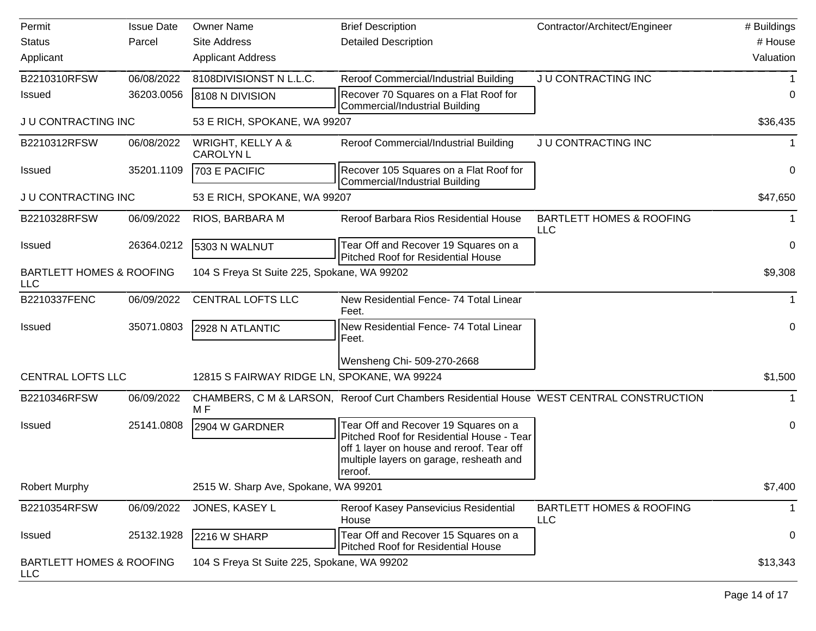| Permit                                            | <b>Issue Date</b> | <b>Owner Name</b>                           | <b>Brief Description</b>                                                                                                                                                             | Contractor/Architect/Engineer                     | # Buildings  |
|---------------------------------------------------|-------------------|---------------------------------------------|--------------------------------------------------------------------------------------------------------------------------------------------------------------------------------------|---------------------------------------------------|--------------|
| <b>Status</b>                                     | Parcel            | <b>Site Address</b>                         | <b>Detailed Description</b>                                                                                                                                                          |                                                   | # House      |
| Applicant                                         |                   | <b>Applicant Address</b>                    |                                                                                                                                                                                      |                                                   | Valuation    |
| B2210310RFSW                                      | 06/08/2022        | 8108DIVISIONST N L.L.C.                     | Reroof Commercial/Industrial Building                                                                                                                                                | JU CONTRACTING INC                                |              |
| <b>Issued</b>                                     | 36203.0056        | 8108 N DIVISION                             | Recover 70 Squares on a Flat Roof for<br>Commercial/Industrial Building                                                                                                              |                                                   | 0            |
| JU CONTRACTING INC                                |                   | 53 E RICH, SPOKANE, WA 99207                |                                                                                                                                                                                      |                                                   | \$36,435     |
| B2210312RFSW                                      | 06/08/2022        | WRIGHT, KELLY A &<br><b>CAROLYN L</b>       | Reroof Commercial/Industrial Building                                                                                                                                                | JU CONTRACTING INC                                | 1            |
| <b>Issued</b>                                     | 35201.1109        | 703 E PACIFIC                               | Recover 105 Squares on a Flat Roof for<br><b>Commercial/Industrial Building</b>                                                                                                      |                                                   | 0            |
| JU CONTRACTING INC                                |                   | 53 E RICH, SPOKANE, WA 99207                |                                                                                                                                                                                      |                                                   | \$47,650     |
| B2210328RFSW                                      | 06/09/2022        | RIOS, BARBARA M                             | Reroof Barbara Rios Residential House                                                                                                                                                | <b>BARTLETT HOMES &amp; ROOFING</b><br><b>LLC</b> | 1            |
| Issued                                            | 26364.0212        | 5303 N WALNUT                               | Tear Off and Recover 19 Squares on a<br><b>Pitched Roof for Residential House</b>                                                                                                    |                                                   | 0            |
| <b>BARTLETT HOMES &amp; ROOFING</b><br><b>LLC</b> |                   | 104 S Freya St Suite 225, Spokane, WA 99202 |                                                                                                                                                                                      |                                                   | \$9,308      |
| B2210337FENC                                      | 06/09/2022        | <b>CENTRAL LOFTS LLC</b>                    | New Residential Fence- 74 Total Linear<br>Feet.                                                                                                                                      |                                                   | $\mathbf{1}$ |
| <b>Issued</b>                                     | 35071.0803        | 2928 N ATLANTIC                             | New Residential Fence- 74 Total Linear<br>Feet.                                                                                                                                      |                                                   | 0            |
|                                                   |                   |                                             | Wensheng Chi- 509-270-2668                                                                                                                                                           |                                                   |              |
| <b>CENTRAL LOFTS LLC</b>                          |                   | 12815 S FAIRWAY RIDGE LN, SPOKANE, WA 99224 |                                                                                                                                                                                      |                                                   | \$1,500      |
| B2210346RFSW                                      | 06/09/2022        | M F                                         | CHAMBERS, C M & LARSON, Reroof Curt Chambers Residential House WEST CENTRAL CONSTRUCTION                                                                                             |                                                   |              |
| <b>Issued</b>                                     | 25141.0808        | 2904 W GARDNER                              | Tear Off and Recover 19 Squares on a<br>Pitched Roof for Residential House - Tear<br>off 1 layer on house and reroof. Tear off<br>multiple layers on garage, resheath and<br>reroof. |                                                   | 0            |
| <b>Robert Murphy</b>                              |                   | 2515 W. Sharp Ave, Spokane, WA 99201        |                                                                                                                                                                                      |                                                   | \$7,400      |
| B2210354RFSW                                      | 06/09/2022        | JONES, KASEY L                              | Reroof Kasey Pansevicius Residential<br>House                                                                                                                                        | <b>BARTLETT HOMES &amp; ROOFING</b><br><b>LLC</b> | 1            |
| <b>Issued</b>                                     | 25132.1928        | 2216 W SHARP                                | Tear Off and Recover 15 Squares on a<br><b>Pitched Roof for Residential House</b>                                                                                                    |                                                   | 0            |
| <b>BARTLETT HOMES &amp; ROOFING</b><br><b>LLC</b> |                   | 104 S Freya St Suite 225, Spokane, WA 99202 |                                                                                                                                                                                      |                                                   | \$13,343     |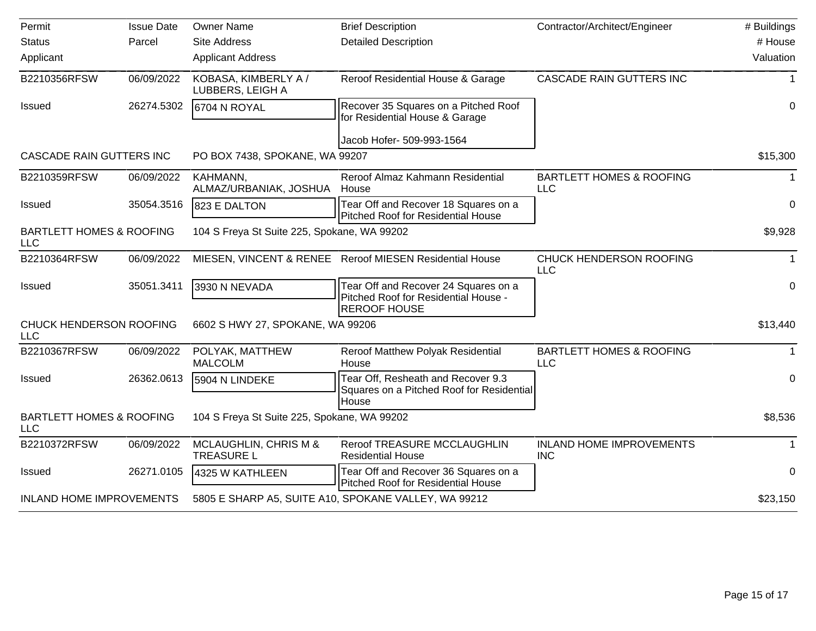| Permit                                            | <b>Issue Date</b> | <b>Owner Name</b>                           | <b>Brief Description</b>                                                                            | Contractor/Architect/Engineer                     | # Buildings |
|---------------------------------------------------|-------------------|---------------------------------------------|-----------------------------------------------------------------------------------------------------|---------------------------------------------------|-------------|
| <b>Status</b>                                     | Parcel            | <b>Site Address</b>                         | <b>Detailed Description</b>                                                                         |                                                   | # House     |
| Applicant                                         |                   | <b>Applicant Address</b>                    |                                                                                                     |                                                   | Valuation   |
| B2210356RFSW                                      | 06/09/2022        | KOBASA, KIMBERLY A /<br>LUBBERS, LEIGH A    | Reroof Residential House & Garage                                                                   | CASCADE RAIN GUTTERS INC                          | 1           |
| Issued                                            | 26274.5302        | 6704 N ROYAL                                | Recover 35 Squares on a Pitched Roof<br>for Residential House & Garage                              |                                                   | 0           |
|                                                   |                   |                                             | Jacob Hofer- 509-993-1564                                                                           |                                                   |             |
| CASCADE RAIN GUTTERS INC                          |                   | PO BOX 7438, SPOKANE, WA 99207              |                                                                                                     |                                                   | \$15,300    |
| B2210359RFSW                                      | 06/09/2022        | KAHMANN,<br>ALMAZ/URBANIAK, JOSHUA          | Reroof Almaz Kahmann Residential<br>House                                                           | <b>BARTLETT HOMES &amp; ROOFING</b><br><b>LLC</b> | 1           |
| Issued                                            | 35054.3516        | 823 E DALTON                                | Tear Off and Recover 18 Squares on a<br><b>Pitched Roof for Residential House</b>                   |                                                   | 0           |
| <b>BARTLETT HOMES &amp; ROOFING</b><br><b>LLC</b> |                   | 104 S Freya St Suite 225, Spokane, WA 99202 |                                                                                                     |                                                   | \$9,928     |
| B2210364RFSW                                      | 06/09/2022        |                                             | MIESEN, VINCENT & RENEE Reroof MIESEN Residential House                                             | CHUCK HENDERSON ROOFING<br><b>LLC</b>             | 1           |
| Issued                                            | 35051.3411        | 3930 N NEVADA                               | Tear Off and Recover 24 Squares on a<br>Pitched Roof for Residential House -<br><b>REROOF HOUSE</b> |                                                   | 0           |
| CHUCK HENDERSON ROOFING<br><b>LLC</b>             |                   | 6602 S HWY 27, SPOKANE, WA 99206            |                                                                                                     |                                                   | \$13,440    |
| B2210367RFSW                                      | 06/09/2022        | POLYAK, MATTHEW<br><b>MALCOLM</b>           | Reroof Matthew Polyak Residential<br>House                                                          | <b>BARTLETT HOMES &amp; ROOFING</b><br><b>LLC</b> | 1           |
| Issued                                            | 26362.0613        | 5904 N LINDEKE                              | Tear Off, Resheath and Recover 9.3<br>Squares on a Pitched Roof for Residential<br>House            |                                                   | 0           |
| <b>BARTLETT HOMES &amp; ROOFING</b><br><b>LLC</b> |                   | 104 S Freya St Suite 225, Spokane, WA 99202 |                                                                                                     |                                                   | \$8,536     |
| B2210372RFSW                                      | 06/09/2022        | MCLAUGHLIN, CHRIS M &<br><b>TREASURE L</b>  | Reroof TREASURE MCCLAUGHLIN<br><b>Residential House</b>                                             | <b>INLAND HOME IMPROVEMENTS</b><br><b>INC</b>     | 1           |
| Issued                                            | 26271.0105        | 4325 W KATHLEEN                             | Tear Off and Recover 36 Squares on a<br>Pitched Roof for Residential House                          |                                                   | 0           |
| <b>INLAND HOME IMPROVEMENTS</b>                   |                   |                                             | 5805 E SHARP A5, SUITE A10, SPOKANE VALLEY, WA 99212                                                |                                                   | \$23,150    |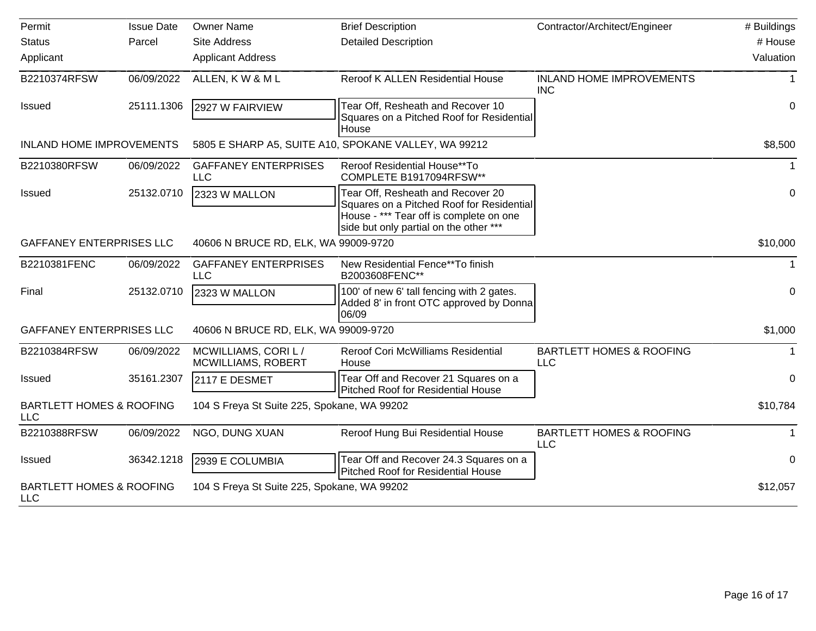| Permit                                            | <b>Issue Date</b> | <b>Owner Name</b>                                 | <b>Brief Description</b>                                                                                                                                            | Contractor/Architect/Engineer                     | # Buildings      |
|---------------------------------------------------|-------------------|---------------------------------------------------|---------------------------------------------------------------------------------------------------------------------------------------------------------------------|---------------------------------------------------|------------------|
| <b>Status</b>                                     | Parcel            | <b>Site Address</b>                               | <b>Detailed Description</b>                                                                                                                                         |                                                   | # House          |
| Applicant                                         |                   | <b>Applicant Address</b>                          |                                                                                                                                                                     |                                                   | Valuation        |
| B2210374RFSW                                      | 06/09/2022        | ALLEN, KW & ML                                    | Reroof K ALLEN Residential House                                                                                                                                    | <b>INLAND HOME IMPROVEMENTS</b><br><b>INC</b>     | 1                |
| <b>Issued</b>                                     | 25111.1306        | 2927 W FAIRVIEW                                   | Tear Off, Resheath and Recover 10<br>Squares on a Pitched Roof for Residential<br>House                                                                             |                                                   | 0                |
| <b>INLAND HOME IMPROVEMENTS</b>                   |                   |                                                   | 5805 E SHARP A5, SUITE A10, SPOKANE VALLEY, WA 99212                                                                                                                |                                                   | \$8,500          |
| B2210380RFSW                                      | 06/09/2022        | <b>GAFFANEY ENTERPRISES</b><br><b>LLC</b>         | Reroof Residential House**To<br>COMPLETE B1917094RFSW**                                                                                                             |                                                   | $\mathbf{1}$     |
| <b>Issued</b>                                     | 25132.0710        | 2323 W MALLON                                     | Tear Off, Resheath and Recover 20<br>Squares on a Pitched Roof for Residential<br>House - *** Tear off is complete on one<br>side but only partial on the other *** |                                                   | 0                |
| <b>GAFFANEY ENTERPRISES LLC</b>                   |                   | 40606 N BRUCE RD, ELK, WA 99009-9720              |                                                                                                                                                                     |                                                   | \$10,000         |
| B2210381FENC                                      | 06/09/2022        | <b>GAFFANEY ENTERPRISES</b><br><b>LLC</b>         | New Residential Fence**To finish<br>B2003608FENC**                                                                                                                  |                                                   | 1                |
| Final                                             | 25132.0710        | 2323 W MALLON                                     | 100' of new 6' tall fencing with 2 gates.<br>Added 8' in front OTC approved by Donna<br>06/09                                                                       |                                                   | $\boldsymbol{0}$ |
| <b>GAFFANEY ENTERPRISES LLC</b>                   |                   | 40606 N BRUCE RD, ELK, WA 99009-9720              |                                                                                                                                                                     |                                                   | \$1,000          |
| B2210384RFSW                                      | 06/09/2022        | MCWILLIAMS, CORI L /<br><b>MCWILLIAMS, ROBERT</b> | Reroof Cori McWilliams Residential<br>House                                                                                                                         | <b>BARTLETT HOMES &amp; ROOFING</b><br>LLC        | 1                |
| Issued                                            | 35161.2307        | 2117 E DESMET                                     | Tear Off and Recover 21 Squares on a<br>Pitched Roof for Residential House                                                                                          |                                                   | $\Omega$         |
| <b>BARTLETT HOMES &amp; ROOFING</b><br><b>LLC</b> |                   | 104 S Freya St Suite 225, Spokane, WA 99202       |                                                                                                                                                                     |                                                   | \$10,784         |
| B2210388RFSW                                      | 06/09/2022        | NGO, DUNG XUAN                                    | Reroof Hung Bui Residential House                                                                                                                                   | <b>BARTLETT HOMES &amp; ROOFING</b><br><b>LLC</b> | $\mathbf 1$      |
| <b>Issued</b>                                     | 36342.1218        | 2939 E COLUMBIA                                   | Tear Off and Recover 24.3 Squares on a<br><b>Pitched Roof for Residential House</b>                                                                                 |                                                   | 0                |
| <b>BARTLETT HOMES &amp; ROOFING</b><br><b>LLC</b> |                   | 104 S Freya St Suite 225, Spokane, WA 99202       |                                                                                                                                                                     |                                                   | \$12,057         |